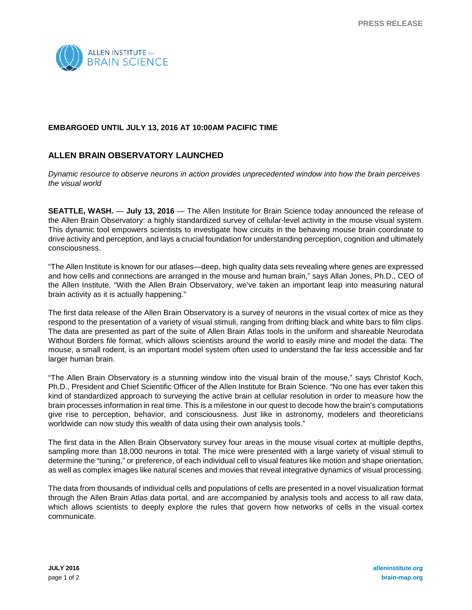

## **EMBARGOED UNTIL JULY 13, 2016 AT 10:00AM PACIFIC TIME**

## **ALLEN BRAIN OBSERVATORY LAUNCHED**

*Dynamic resource to observe neurons in action provides unprecedented window into how the brain perceives the visual world* 

**SEATTLE, WASH.** — **July 13, 2016** — The Allen Institute for Brain Science today announced the release of the Allen Brain Observatory: a highly standardized survey of cellular-level activity in the mouse visual system. This dynamic tool empowers scientists to investigate how circuits in the behaving mouse brain coordinate to drive activity and perception, and lays a crucial foundation for understanding perception, cognition and ultimately consciousness.

"The Allen Institute is known for our atlases—deep, high quality data sets revealing where genes are expressed and how cells and connections are arranged in the mouse and human brain," says Allan Jones, Ph.D., CEO of the Allen Institute. "With the Allen Brain Observatory, we've taken an important leap into measuring natural brain activity as it is actually happening."

The first data release of the Allen Brain Observatory is a survey of neurons in the visual cortex of mice as they respond to the presentation of a variety of visual stimuli, ranging from drifting black and white bars to film clips. The data are presented as part of the suite of Allen Brain Atlas tools in the uniform and shareable Neurodata Without Borders file format, which allows scientists around the world to easily mine and model the data. The mouse, a small rodent, is an important model system often used to understand the far less accessible and far larger human brain.

"The Allen Brain Observatory is a stunning window into the visual brain of the mouse," says Christof Koch, Ph.D., President and Chief Scientific Officer of the Allen Institute for Brain Science. "No one has ever taken this kind of standardized approach to surveying the active brain at cellular resolution in order to measure how the brain processes information in real time. This is a milestone in our quest to decode how the brain's computations give rise to perception, behavior, and consciousness. Just like in astronomy, modelers and theoreticians worldwide can now study this wealth of data using their own analysis tools."

The first data in the Allen Brain Observatory survey four areas in the mouse visual cortex at multiple depths, sampling more than 18,000 neurons in total. The mice were presented with a large variety of visual stimuli to determine the "tuning," or preference, of each individual cell to visual features like motion and shape orientation, as well as complex images like natural scenes and movies that reveal integrative dynamics of visual processing.

The data from thousands of individual cells and populations of cells are presented in a novel visualization format through the Allen Brain Atlas data portal, and are accompanied by analysis tools and access to all raw data, which allows scientists to deeply explore the rules that govern how networks of cells in the visual cortex communicate.